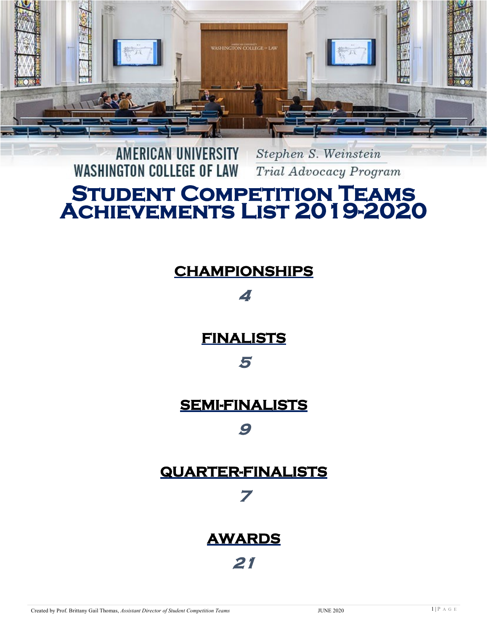

#### AMERICAN UNIVERSITY Stephen S. Weinstein **WASHINGTON COLLEGE OF LAW** Trial Advocacy Program

# STUDENT COMPETITION TEAMS<br>ACHIEVEMENTS LIST 2019-2020

#### **CHAMPIONSHIPS**

**4** 

**FINALISTS** 

#### **5**

#### **SEMI-FINALISTS**

#### **9**

#### **QUARTER-FINALISTS**

**7** 

# **AWARDS 21**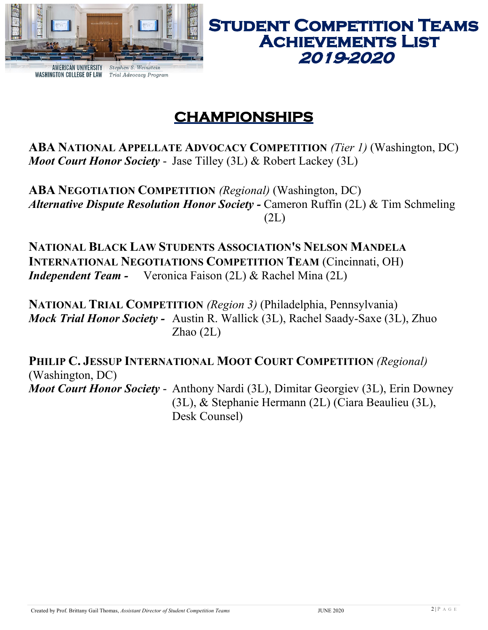

#### **STUDENT COMPETITION TEAMS ACHIEVEMENTS LIST** 2019-2020

# **CHAMPIONSHIPS**

**ABA NATIONAL APPELLATE ADVOCACY COMPETITION** *(Tier 1)* (Washington, DC) *Moot Court Honor Society* - Jase Tilley (3L) & Robert Lackey (3L)

**ABA NEGOTIATION COMPETITION** *(Regional)* (Washington, DC) *Alternative Dispute Resolution Honor Society -* Cameron Ruffin (2L) & Tim Schmeling (2L)

**NATIONAL BLACK LAW STUDENTS ASSOCIATION'S NELSON MANDELA INTERNATIONAL NEGOTIATIONS COMPETITION TEAM** (Cincinnati, OH) *Independent Team -* Veronica Faison (2L) & Rachel Mina (2L)

**NATIONAL TRIAL COMPETITION** *(Region 3)* (Philadelphia, Pennsylvania) *Mock Trial Honor Society -* Austin R. Wallick (3L), Rachel Saady-Saxe (3L), Zhuo Zhao (2L)

**PHILIP C. JESSUP INTERNATIONAL MOOT COURT COMPETITION** *(Regional)*  (Washington, DC) *Moot Court Honor Society* - Anthony Nardi (3L), Dimitar Georgiev (3L), Erin Downey (3L), & Stephanie Hermann (2L) (Ciara Beaulieu (3L),

Desk Counsel)

Created by Prof. Brittany Gail Thomas, Assistant Director of Student Competition Teams JUNE 2020 JUNE 2020 2 | P A G E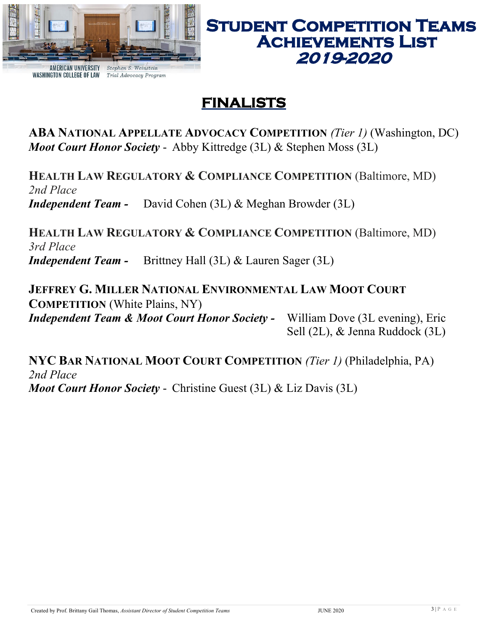

#### **FINALISTS**

**ABA NATIONAL APPELLATE ADVOCACY COMPETITION** *(Tier 1)* (Washington, DC) *Moot Court Honor Society* - Abby Kittredge (3L) & Stephen Moss (3L)

**HEALTH LAW REGULATORY & COMPLIANCE COMPETITION** (Baltimore, MD) *2nd Place Independent Team -* David Cohen (3L) & Meghan Browder (3L)

**HEALTH LAW REGULATORY & COMPLIANCE COMPETITION** (Baltimore, MD) *3rd Place Independent Team -* Brittney Hall (3L) & Lauren Sager (3L)

**JEFFREY G. MILLER NATIONAL ENVIRONMENTAL LAW MOOT COURT COMPETITION** (White Plains, NY) *Independent Team & Moot Court Honor Society -* William Dove (3L evening), Eric Sell (2L), & Jenna Ruddock (3L)

**NYC BAR NATIONAL MOOT COURT COMPETITION** *(Tier 1)* (Philadelphia, PA) *2nd Place Moot Court Honor Society* - Christine Guest (3L) & Liz Davis (3L)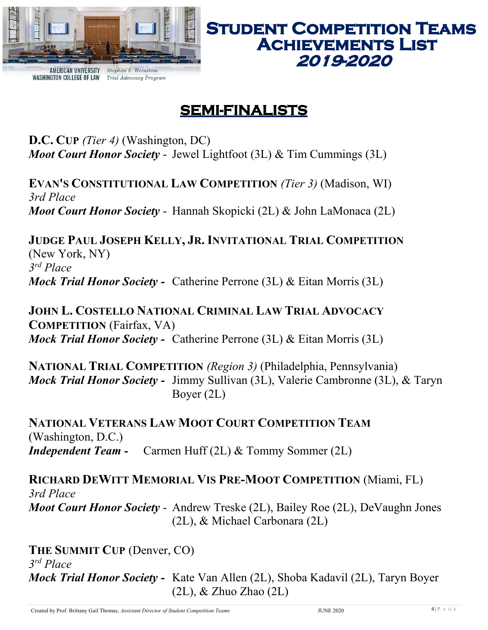

## **SEMI-FINALISTS**

**D.C. CUP** *(Tier 4)* (Washington, DC) *Moot Court Honor Society* - Jewel Lightfoot (3L) & Tim Cummings (3L)

**EVAN'S CONSTITUTIONAL LAW COMPETITION** *(Tier 3)* (Madison, WI) *3rd Place Moot Court Honor Society* - Hannah Skopicki (2L) & John LaMonaca (2L)

**JUDGE PAUL JOSEPH KELLY, JR. INVITATIONAL TRIAL COMPETITION** (New York, NY) *3 rd Place Mock Trial Honor Society -* Catherine Perrone (3L) & Eitan Morris (3L)

**JOHN L. COSTELLO NATIONAL CRIMINAL LAW TRIAL ADVOCACY COMPETITION** (Fairfax, VA) *Mock Trial Honor Society -* Catherine Perrone (3L) & Eitan Morris (3L)

**NATIONAL TRIAL COMPETITION** *(Region 3)* (Philadelphia, Pennsylvania) *Mock Trial Honor Society -* Jimmy Sullivan (3L), Valerie Cambronne (3L), & Taryn Boyer (2L)

**NATIONAL VETERANS LAW MOOT COURT COMPETITION TEAM** (Washington, D.C.) *Independent Team -* Carmen Huff (2L) & Tommy Sommer (2L)

**RICHARD DEWITT MEMORIAL VIS PRE-MOOT COMPETITION** (Miami, FL) *3rd Place Moot Court Honor Society* - Andrew Treske (2L), Bailey Roe (2L), DeVaughn Jones (2L), & Michael Carbonara (2L)

**THE SUMMIT CUP** (Denver, CO) *3 rd Place Mock Trial Honor Society -* Kate Van Allen (2L), Shoba Kadavil (2L), Taryn Boyer (2L), & Zhuo Zhao (2L)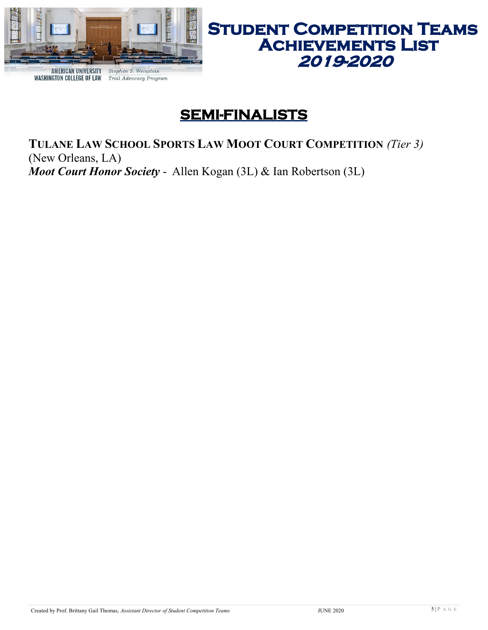

# **STUDENT COMPETITION TEAMS<br>ACHIEVEMENTS LIST** 2019-2020

#### **SEMI-FINALISTS**

**TULANE LAW SCHOOL SPORTS LAW MOOT COURT COMPETITION** *(Tier 3)* (New Orleans, LA) *Moot Court Honor Society* - Allen Kogan (3L) & Ian Robertson (3L)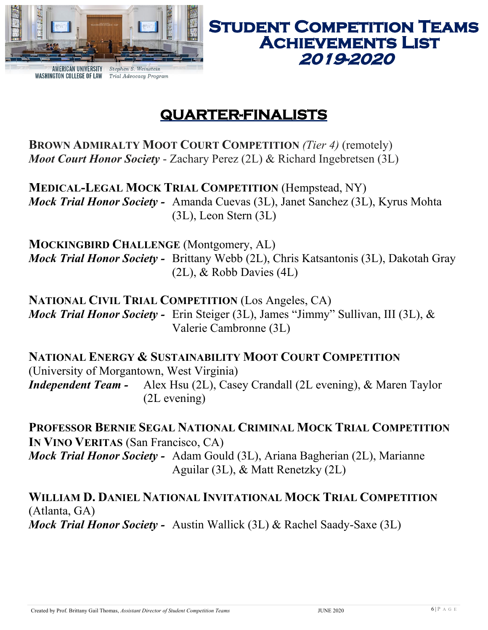

# 2019-2020

**STUDENT COMPETITION TEAMS** 

**ACHIEVEMENTS LIST** 

#### **QUARTER-FINALISTS**

**BROWN ADMIRALTY MOOT COURT COMPETITION** *(Tier 4)* (remotely) *Moot Court Honor Society* - Zachary Perez (2L) & Richard Ingebretsen (3L)

**MEDICAL-LEGAL MOCK TRIAL COMPETITION** (Hempstead, NY) *Mock Trial Honor Society -* Amanda Cuevas (3L), Janet Sanchez (3L), Kyrus Mohta (3L), Leon Stern (3L)

**MOCKINGBIRD CHALLENGE** (Montgomery, AL) *Mock Trial Honor Society -* Brittany Webb (2L), Chris Katsantonis (3L), Dakotah Gray (2L), & Robb Davies (4L)

**NATIONAL CIVIL TRIAL COMPETITION** (Los Angeles, CA) *Mock Trial Honor Society -* Erin Steiger (3L), James "Jimmy" Sullivan, III (3L), & Valerie Cambronne (3L)

**NATIONAL ENERGY & SUSTAINABILITY MOOT COURT COMPETITION** (University of Morgantown, West Virginia) *Independent Team -* Alex Hsu (2L), Casey Crandall (2L evening), & Maren Taylor (2L evening)

**PROFESSOR BERNIE SEGAL NATIONAL CRIMINAL MOCK TRIAL COMPETITION IN VINO VERITAS** (San Francisco, CA) *Mock Trial Honor Society -* Adam Gould (3L), Ariana Bagherian (2L), Marianne Aguilar (3L), & Matt Renetzky (2L)

**WILLIAM D. DANIEL NATIONAL INVITATIONAL MOCK TRIAL COMPETITION** (Atlanta, GA) *Mock Trial Honor Society -* Austin Wallick (3L) & Rachel Saady-Saxe (3L)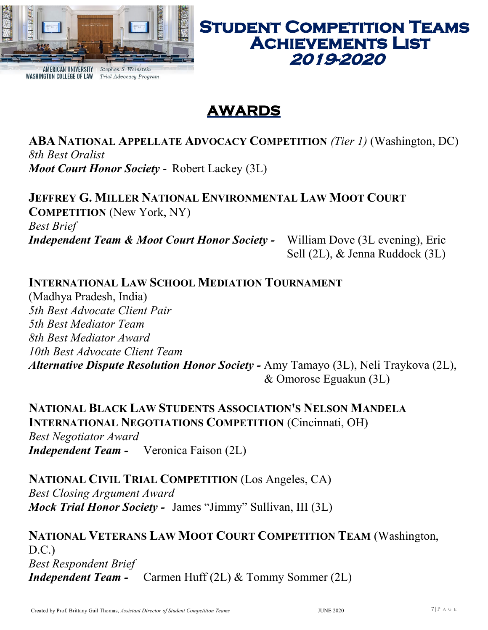

### **AWARDS**

**ABA NATIONAL APPELLATE ADVOCACY COMPETITION** *(Tier 1)* (Washington, DC) *8th Best Oralist Moot Court Honor Society* - Robert Lackey (3L)

**JEFFREY G. MILLER NATIONAL ENVIRONMENTAL LAW MOOT COURT COMPETITION** (New York, NY) *Best Brief Independent Team & Moot Court Honor Society -* William Dove (3L evening), Eric Sell (2L), & Jenna Ruddock (3L)

#### **INTERNATIONAL LAW SCHOOL MEDIATION TOURNAMENT**

(Madhya Pradesh, India) *5th Best Advocate Client Pair 5th Best Mediator Team 8th Best Mediator Award 10th Best Advocate Client Team Alternative Dispute Resolution Honor Society -* Amy Tamayo (3L), Neli Traykova (2L), & Omorose Eguakun (3L)

**NATIONAL BLACK LAW STUDENTS ASSOCIATION'S NELSON MANDELA INTERNATIONAL NEGOTIATIONS COMPETITION** (Cincinnati, OH) *Best Negotiator Award Independent Team -* Veronica Faison (2L)

**NATIONAL CIVIL TRIAL COMPETITION** (Los Angeles, CA) *Best Closing Argument Award Mock Trial Honor Society -* James "Jimmy" Sullivan, III (3L)

**NATIONAL VETERANS LAW MOOT COURT COMPETITION TEAM** (Washington, D.C.) *Best Respondent Brief Independent Team -* Carmen Huff (2L) & Tommy Sommer (2L)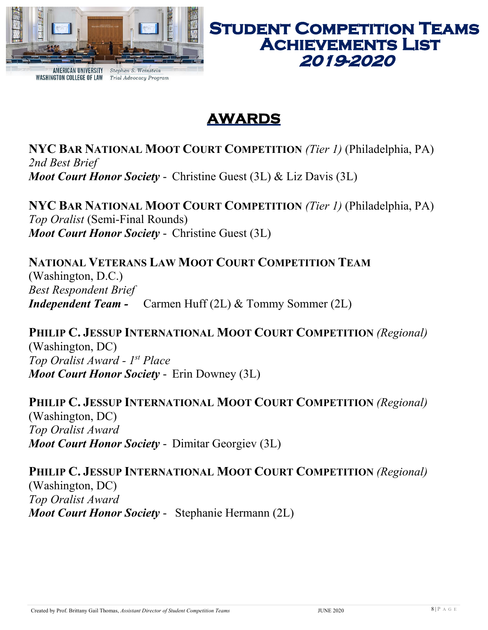

#### **STUDENT COMPETITION TEAMS ACHIEVEMENTS LIST** 2019-2020

# **AWARDS**

**NYC BAR NATIONAL MOOT COURT COMPETITION** *(Tier 1)* (Philadelphia, PA) *2nd Best Brief Moot Court Honor Society* - Christine Guest (3L) & Liz Davis (3L)

**NYC BAR NATIONAL MOOT COURT COMPETITION** *(Tier 1)* (Philadelphia, PA) *Top Oralist* (Semi-Final Rounds) *Moot Court Honor Society* - Christine Guest (3L)

**NATIONAL VETERANS LAW MOOT COURT COMPETITION TEAM** (Washington, D.C.) *Best Respondent Brief Independent Team -* Carmen Huff (2L) & Tommy Sommer (2L)

**PHILIP C. JESSUP INTERNATIONAL MOOT COURT COMPETITION** *(Regional)*  (Washington, DC) *Top Oralist Award - 1 st Place Moot Court Honor Society* - Erin Downey (3L)

**PHILIP C. JESSUP INTERNATIONAL MOOT COURT COMPETITION** *(Regional)*  (Washington, DC) *Top Oralist Award Moot Court Honor Society* - Dimitar Georgiev (3L)

**PHILIP C. JESSUP INTERNATIONAL MOOT COURT COMPETITION** *(Regional)*  (Washington, DC) *Top Oralist Award Moot Court Honor Society* - Stephanie Hermann (2L)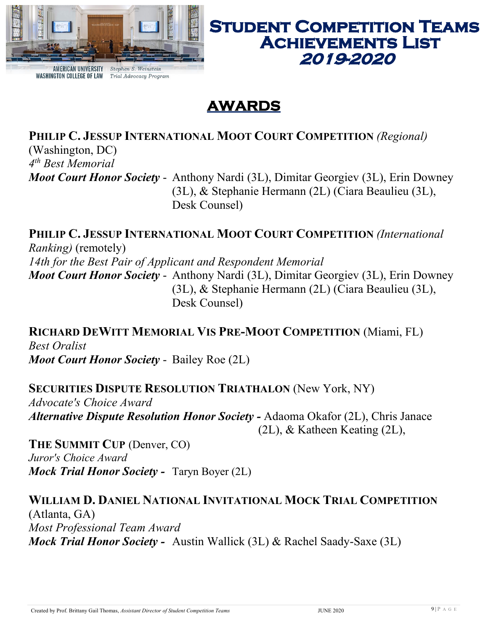

#### **STUDENT COMPETITION TEAMS ACHIEVEMENTS LIST** 2019-2020

#### **AWARDS**

**PHILIP C. JESSUP INTERNATIONAL MOOT COURT COMPETITION** *(Regional)* 

(Washington, DC) *4 th Best Memorial*

*Moot Court Honor Society* - Anthony Nardi (3L), Dimitar Georgiev (3L), Erin Downey (3L), & Stephanie Hermann (2L) (Ciara Beaulieu (3L), Desk Counsel)

**PHILIP C. JESSUP INTERNATIONAL MOOT COURT COMPETITION** *(International Ranking)* (remotely) *14th for the Best Pair of Applicant and Respondent Memorial Moot Court Honor Society* - Anthony Nardi (3L), Dimitar Georgiev (3L), Erin Downey (3L), & Stephanie Hermann (2L) (Ciara Beaulieu (3L), Desk Counsel)

**RICHARD DEWITT MEMORIAL VIS PRE-MOOT COMPETITION** (Miami, FL) *Best Oralist Moot Court Honor Society* - Bailey Roe (2L)

**SECURITIES DISPUTE RESOLUTION TRIATHALON** (New York, NY)

*Advocate's Choice Award Alternative Dispute Resolution Honor Society -* Adaoma Okafor (2L), Chris Janace (2L), & Katheen Keating (2L),

**THE SUMMIT CUP** (Denver, CO) *Juror's Choice Award Mock Trial Honor Society -* Taryn Boyer (2L)

#### **WILLIAM D. DANIEL NATIONAL INVITATIONAL MOCK TRIAL COMPETITION** (Atlanta, GA) *Most Professional Team Award Mock Trial Honor Society -* Austin Wallick (3L) & Rachel Saady-Saxe (3L)